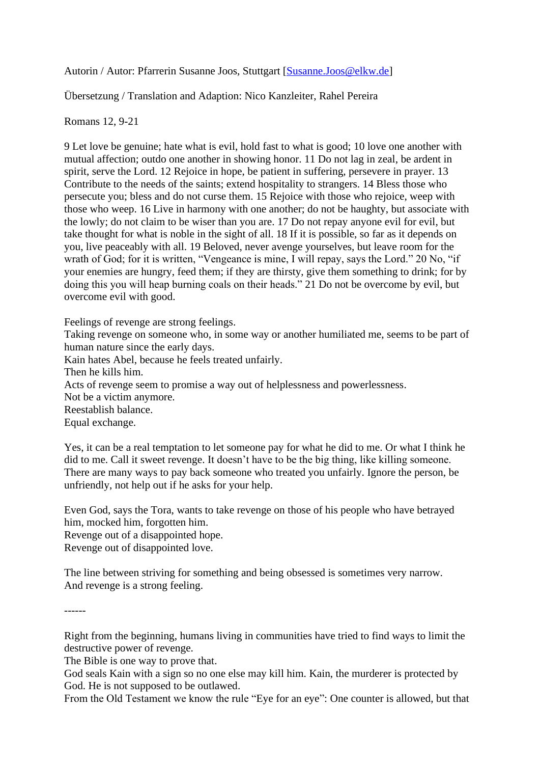Autorin / Autor: Pfarrerin Susanne Joos, Stuttgart [\[Susanne.Joos@elkw.de\]](mailto:Susanne.Joos@elkw.de)

Übersetzung / Translation and Adaption: Nico Kanzleiter, Rahel Pereira

## Romans 12, 9-21

9 Let love be genuine; hate what is evil, hold fast to what is good; 10 love one another with mutual affection; outdo one another in showing honor. 11 Do not lag in zeal, be ardent in spirit, serve the Lord. 12 Rejoice in hope, be patient in suffering, persevere in prayer. 13 Contribute to the needs of the saints; extend hospitality to strangers. 14 Bless those who persecute you; bless and do not curse them. 15 Rejoice with those who rejoice, weep with those who weep. 16 Live in harmony with one another; do not be haughty, but associate with the lowly; do not claim to be wiser than you are. 17 Do not repay anyone evil for evil, but take thought for what is noble in the sight of all. 18 If it is possible, so far as it depends on you, live peaceably with all. 19 Beloved, never avenge yourselves, but leave room for the wrath of God; for it is written, "Vengeance is mine, I will repay, says the Lord." 20 No, "if your enemies are hungry, feed them; if they are thirsty, give them something to drink; for by doing this you will heap burning coals on their heads." 21 Do not be overcome by evil, but overcome evil with good.

Feelings of revenge are strong feelings.

Taking revenge on someone who, in some way or another humiliated me, seems to be part of human nature since the early days.

Kain hates Abel, because he feels treated unfairly.

Then he kills him.

Acts of revenge seem to promise a way out of helplessness and powerlessness.

Not be a victim anymore.

Reestablish balance.

Equal exchange.

Yes, it can be a real temptation to let someone pay for what he did to me. Or what I think he did to me. Call it sweet revenge. It doesn't have to be the big thing, like killing someone. There are many ways to pay back someone who treated you unfairly. Ignore the person, be unfriendly, not help out if he asks for your help.

Even God, says the Tora, wants to take revenge on those of his people who have betrayed him, mocked him, forgotten him.

Revenge out of a disappointed hope.

Revenge out of disappointed love.

The line between striving for something and being obsessed is sometimes very narrow. And revenge is a strong feeling.

------

Right from the beginning, humans living in communities have tried to find ways to limit the destructive power of revenge.

The Bible is one way to prove that.

God seals Kain with a sign so no one else may kill him. Kain, the murderer is protected by God. He is not supposed to be outlawed.

From the Old Testament we know the rule "Eye for an eye": One counter is allowed, but that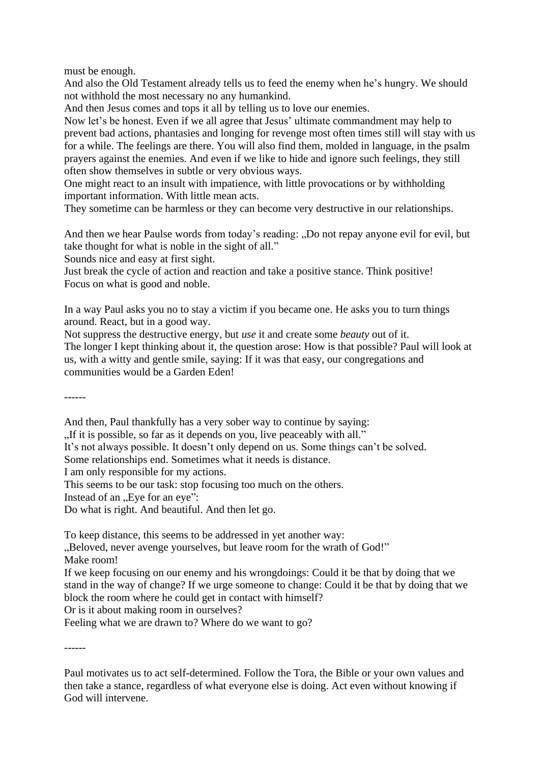must be enough.

And also the Old Testament already tells us to feed the enemy when he's hungry. We should not withhold the most necessary no any humankind.

And then Jesus comes and tops it all by telling us to love our enemies.

Now let's be honest. Even if we all agree that Jesus' ultimate commandment may help to prevent bad actions, phantasies and longing for revenge most often times still will stay with us for a while. The feelings are there. You will also find them, molded in language, in the psalm prayers against the enemies. And even if we like to hide and ignore such feelings, they still often show themselves in subtle or very obvious ways.

One might react to an insult with impatience, with little provocations or by withholding important information. With little mean acts.

They sometime can be harmless or they can become very destructive in our relationships.

And then we hear Paulse words from today's reading: "Do not repay anyone evil for evil, but take thought for what is noble in the sight of all."

Sounds nice and easy at first sight.

Just break the cycle of action and reaction and take a positive stance. Think positive! Focus on what is good and noble.

In a way Paul asks you no to stay a victim if you became one. He asks you to turn things around. React, but in a good way.

Not suppress the destructive energy, but *use* it and create some *beauty* out of it. The longer I kept thinking about it, the question arose: How is that possible? Paul will look at us, with a witty and gentle smile, saying: If it was that easy, our congregations and communities would be a Garden Eden!

------

And then, Paul thankfully has a very sober way to continue by saying:

"If it is possible, so far as it depends on you, live peaceably with all."

It's not always possible. It doesn't only depend on us. Some things can't be solved.

Some relationships end. Sometimes what it needs is distance.

I am only responsible for my actions.

This seems to be our task: stop focusing too much on the others.

Instead of an "Eye for an eye":

Do what is right. And beautiful. And then let go.

To keep distance, this seems to be addressed in yet another way:

"Beloved, never avenge yourselves, but leave room for the wrath of God!" Make room!

If we keep focusing on our enemy and his wrongdoings: Could it be that by doing that we stand in the way of change? If we urge someone to change: Could it be that by doing that we block the room where he could get in contact with himself?

Or is it about making room in ourselves?

Feeling what we are drawn to? Where do we want to go?

------

Paul motivates us to act self-determined. Follow the Tora, the Bible or your own values and then take a stance, regardless of what everyone else is doing. Act even without knowing if God will intervene.